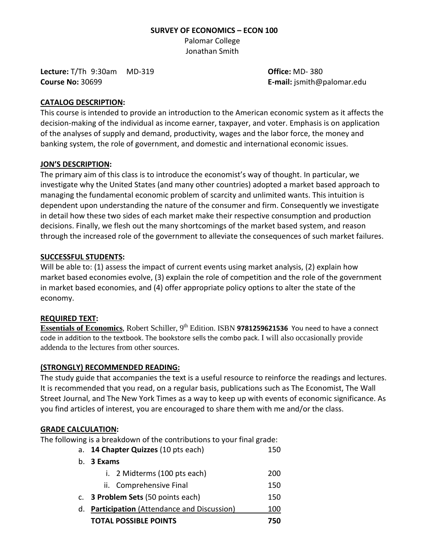#### **SURVEY OF ECONOMICS – ECON 100**

Palomar College Jonathan Smith

**Lecture:** T/Th 9:30am MD-319 **Office:** MD- 380 **Course No:** 30699 **E-mail:** jsmith@palomar.edu

#### **CATALOG DESCRIPTION:**

This course is intended to provide an introduction to the American economic system as it affects the decision-making of the individual as income earner, taxpayer, and voter. Emphasis is on application of the analyses of supply and demand, productivity, wages and the labor force, the money and banking system, the role of government, and domestic and international economic issues.

#### **JON'S DESCRIPTION:**

The primary aim of this class is to introduce the economist's way of thought. In particular, we investigate why the United States (and many other countries) adopted a market based approach to managing the fundamental economic problem of scarcity and unlimited wants. This intuition is dependent upon understanding the nature of the consumer and firm. Consequently we investigate in detail how these two sides of each market make their respective consumption and production decisions. Finally, we flesh out the many shortcomings of the market based system, and reason through the increased role of the government to alleviate the consequences of such market failures.

#### **SUCCESSFUL STUDENTS:**

Will be able to: (1) assess the impact of current events using market analysis, (2) explain how market based economies evolve, (3) explain the role of competition and the role of the government in market based economies, and (4) offer appropriate policy options to alter the state of the economy.

#### **REQUIRED TEXT:**

**Essentials of Economics**, Robert Schiller, 9<sup>th</sup> Edition. ISBN 9781259621536 You need to have a connect code in addition to the textbook. The bookstore sells the combo pack. I will also occasionally provide addenda to the lectures from other sources.

# **(STRONGLY) RECOMMENDED READING:**

The study guide that accompanies the text is a useful resource to reinforce the readings and lectures. It is recommended that you read, on a regular basis, publications such as The Economist, The Wall Street Journal, and The New York Times as a way to keep up with events of economic significance. As you find articles of interest, you are encouraged to share them with me and/or the class.

#### **GRADE CALCULATION:**

The following is a breakdown of the contributions to your final grade:

|             | a. 14 Chapter Quizzes (10 pts each)              |     |  |  |  |
|-------------|--------------------------------------------------|-----|--|--|--|
| $b_{\cdot}$ | 3 Exams                                          |     |  |  |  |
|             | i. 2 Midterms (100 pts each)                     | 200 |  |  |  |
|             | ii. Comprehensive Final                          | 150 |  |  |  |
|             | c. 3 Problem Sets (50 points each)               | 150 |  |  |  |
| d.          | <b>Participation</b> (Attendance and Discussion) |     |  |  |  |
|             | <b>TOTAL POSSIBLE POINTS</b>                     | 750 |  |  |  |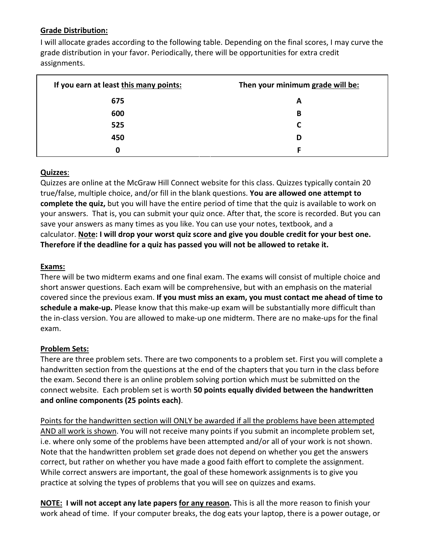# **Grade Distribution:**

I will allocate grades according to the following table. Depending on the final scores, I may curve the grade distribution in your favor. Periodically, there will be opportunities for extra credit assignments.

| If you earn at least this many points: | Then your minimum grade will be: |
|----------------------------------------|----------------------------------|
| 675                                    | A                                |
| 600                                    | в                                |
| 525                                    |                                  |
| 450                                    | D                                |
| 0                                      | F                                |

# **Quizzes**:

Quizzes are online at the McGraw Hill Connect website for this class. Quizzes typically contain 20 true/false, multiple choice, and/or fill in the blank questions. **You are allowed one attempt to complete the quiz,** but you will have the entire period of time that the quiz is available to work on your answers. That is, you can submit your quiz once. After that, the score is recorded. But you can save your answers as many times as you like. You can use your notes, textbook, and a calculator. **Note: I will drop your worst quiz score and give you double credit for your best one. Therefore if the deadline for a quiz has passed you will not be allowed to retake it.**

#### **Exams:**

There will be two midterm exams and one final exam. The exams will consist of multiple choice and short answer questions. Each exam will be comprehensive, but with an emphasis on the material covered since the previous exam. **If you must miss an exam, you must contact me ahead of time to schedule a make-up.** Please know that this make-up exam will be substantially more difficult than the in-class version. You are allowed to make-up one midterm. There are no make-ups for the final exam.

# **Problem Sets:**

There are three problem sets. There are two components to a problem set. First you will complete a handwritten section from the questions at the end of the chapters that you turn in the class before the exam. Second there is an online problem solving portion which must be submitted on the connect website. Each problem set is worth **50 points equally divided between the handwritten and online components (25 points each)**.

Points for the handwritten section will ONLY be awarded if all the problems have been attempted AND all work is shown. You will not receive many points if you submit an incomplete problem set, i.e. where only some of the problems have been attempted and/or all of your work is not shown. Note that the handwritten problem set grade does not depend on whether you get the answers correct, but rather on whether you have made a good faith effort to complete the assignment. While correct answers are important, the goal of these homework assignments is to give you practice at solving the types of problems that you will see on quizzes and exams.

**NOTE: I will not accept any late papers for any reason.** This is all the more reason to finish your work ahead of time. If your computer breaks, the dog eats your laptop, there is a power outage, or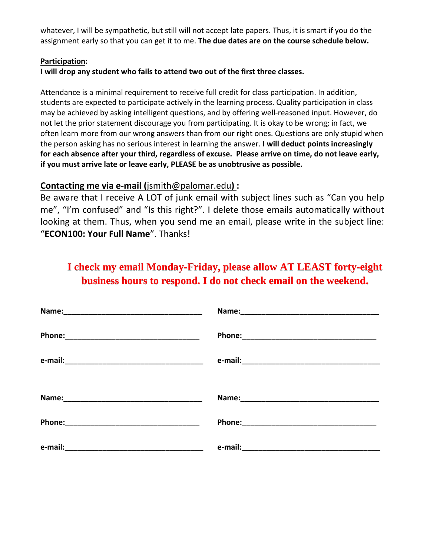whatever, I will be sympathetic, but still will not accept late papers. Thus, it is smart if you do the assignment early so that you can get it to me. **The due dates are on the course schedule below.**

#### **Participation:**

# **I will drop any student who fails to attend two out of the first three classes.**

Attendance is a minimal requirement to receive full credit for class participation. In addition, students are expected to participate actively in the learning process. Quality participation in class may be achieved by asking intelligent questions, and by offering well-reasoned input. However, do not let the prior statement discourage you from participating. It is okay to be wrong; in fact, we often learn more from our wrong answers than from our right ones. Questions are only stupid when the person asking has no serious interest in learning the answer. **I will deduct points increasingly for each absence after your third, regardless of excuse. Please arrive on time, do not leave early, if you must arrive late or leave early, PLEASE be as unobtrusive as possible.**

# **Contacting me via e-mail (**jsmith@palomar.edu**) :**

Be aware that I receive A LOT of junk email with subject lines such as "Can you help me", "I'm confused" and "Is this right?". I delete those emails automatically without looking at them. Thus, when you send me an email, please write in the subject line: "**ECON100: Your Full Name**". Thanks!

# **I check my email Monday-Friday, please allow AT LEAST forty-eight business hours to respond. I do not check email on the weekend.**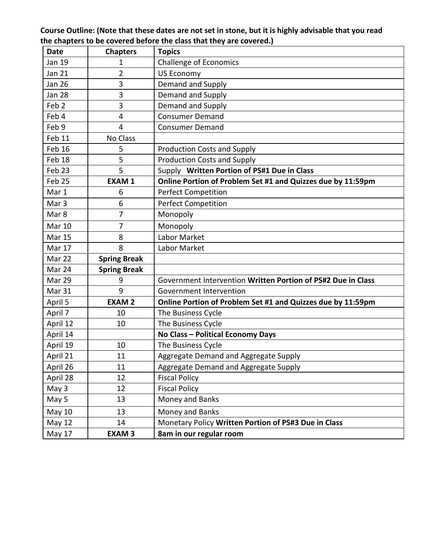**Course Outline: (Note that these dates are not set in stone, but it is highly advisable that you read the chapters to be covered before the class that they are covered.)**

| <b>Date</b>      | <b>Chapters</b>     | <b>Topics</b>                                                |
|------------------|---------------------|--------------------------------------------------------------|
| Jan 19           | 1                   | <b>Challenge of Economics</b>                                |
| <b>Jan 21</b>    | 2                   | <b>US Economy</b>                                            |
| <b>Jan 26</b>    | 3                   | Demand and Supply                                            |
| <b>Jan 28</b>    | 3                   | Demand and Supply                                            |
| Feb <sub>2</sub> | 3                   | Demand and Supply                                            |
| Feb 4            | 4                   | <b>Consumer Demand</b>                                       |
| Feb 9            | $\overline{4}$      | <b>Consumer Demand</b>                                       |
| Feb 11           | No Class            |                                                              |
| Feb 16           | 5                   | <b>Production Costs and Supply</b>                           |
| Feb 18           | 5                   | <b>Production Costs and Supply</b>                           |
| Feb 23           | 5                   | Supply Written Portion of PS#1 Due in Class                  |
| Feb 25           | <b>EXAM1</b>        | Online Portion of Problem Set #1 and Quizzes due by 11:59pm  |
| Mar 1            | 6                   | <b>Perfect Competition</b>                                   |
| Mar <sub>3</sub> | 6                   | <b>Perfect Competition</b>                                   |
| Mar 8            | 7                   | Monopoly                                                     |
| <b>Mar 10</b>    | 7                   | Monopoly                                                     |
| <b>Mar 15</b>    | 8                   | Labor Market                                                 |
| Mar 17           | 8                   | Labor Market                                                 |
| Mar 22           | <b>Spring Break</b> |                                                              |
| Mar 24           | <b>Spring Break</b> |                                                              |
| Mar 29           | 9                   | Government Intervention Written Portion of PS#2 Due in Class |
| Mar 31           | 9                   | Government Intervention                                      |
| April 5          | <b>EXAM2</b>        | Online Portion of Problem Set #1 and Quizzes due by 11:59pm  |
| April 7          | 10                  | The Business Cycle                                           |
| April 12         | 10                  | The Business Cycle                                           |
| April 14         |                     | No Class - Political Economy Days                            |
| April 19         | 10                  | The Business Cycle                                           |
| April 21         | 11                  | Aggregate Demand and Aggregate Supply                        |
| April 26         | 11                  | Aggregate Demand and Aggregate Supply                        |
| April 28         | 12                  | <b>Fiscal Policy</b>                                         |
| May 3            | 12                  | <b>Fiscal Policy</b>                                         |
| May 5            | 13                  | Money and Banks                                              |
| May 10           | 13                  | Money and Banks                                              |
| <b>May 12</b>    | 14                  | Monetary Policy Written Portion of PS#3 Due in Class         |
| May 17           | <b>EXAM3</b>        | 8am in our regular room                                      |